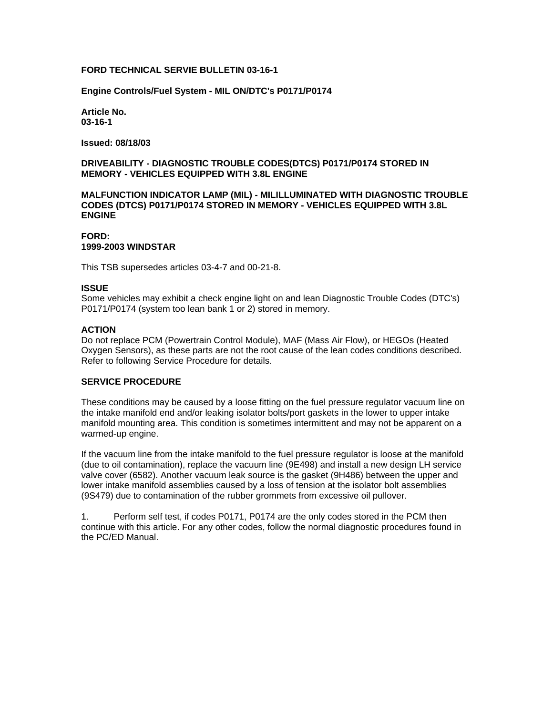### **FORD TECHNICAL SERVIE BULLETIN 03-16-1**

**Engine Controls/Fuel System - MIL ON/DTC's P0171/P0174**

**Article No. 03-16-1**

**Issued: 08/18/03**

# **DRIVEABILITY - DIAGNOSTIC TROUBLE CODES(DTCS) P0171/P0174 STORED IN MEMORY - VEHICLES EQUIPPED WITH 3.8L ENGINE**

**MALFUNCTION INDICATOR LAMP (MIL) - MILILLUMINATED WITH DIAGNOSTIC TROUBLE CODES (DTCS) P0171/P0174 STORED IN MEMORY - VEHICLES EQUIPPED WITH 3.8L ENGINE**

# **FORD: 1999-2003 WINDSTAR**

This TSB supersedes articles 03-4-7 and 00-21-8.

### **ISSUE**

Some vehicles may exhibit a check engine light on and lean Diagnostic Trouble Codes (DTC's) P0171/P0174 (system too lean bank 1 or 2) stored in memory.

### **ACTION**

Do not replace PCM (Powertrain Control Module), MAF (Mass Air Flow), or HEGOs (Heated Oxygen Sensors), as these parts are not the root cause of the lean codes conditions described. Refer to following Service Procedure for details.

### **SERVICE PROCEDURE**

These conditions may be caused by a loose fitting on the fuel pressure regulator vacuum line on the intake manifold end and/or leaking isolator bolts/port gaskets in the lower to upper intake manifold mounting area. This condition is sometimes intermittent and may not be apparent on a warmed-up engine.

If the vacuum line from the intake manifold to the fuel pressure regulator is loose at the manifold (due to oil contamination), replace the vacuum line (9E498) and install a new design LH service valve cover (6582). Another vacuum leak source is the gasket (9H486) between the upper and lower intake manifold assemblies caused by a loss of tension at the isolator bolt assemblies (9S479) due to contamination of the rubber grommets from excessive oil pullover.

1. Perform self test, if codes P0171, P0174 are the only codes stored in the PCM then continue with this article. For any other codes, follow the normal diagnostic procedures found in the PC/ED Manual.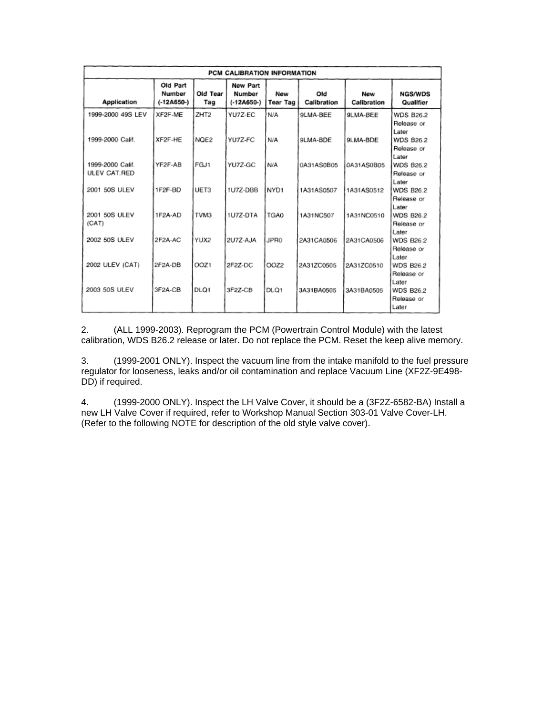| PCM CALIBRATION INFORMATION      |                                    |                  |                                    |                        |                    |                    |                                         |
|----------------------------------|------------------------------------|------------------|------------------------------------|------------------------|--------------------|--------------------|-----------------------------------------|
| <b>Application</b>               | Old Part<br>Number<br>$(-12A650-)$ | Old Tear<br>Tag  | New Part<br>Number<br>$(-12A650-)$ | New<br><b>Tear Tag</b> | Old<br>Calibration | New<br>Calibration | <b>NGS/WDS</b><br>Qualifier             |
| 1999-2000 49S LEV                | XF2F-ME                            | ZHT <sub>2</sub> | YU7Z-EC                            | N/A                    | 9LMA-BEE           | 9LMA-BEE           | <b>WDS B26.2</b><br>Release or<br>Later |
| 1999-2000 Calif.                 | XF2F-HE                            | NQE2             | YU7Z-FC                            | N/A                    | 9LMA-BDE           | 9LMA-BDE           | <b>WDS B26.2</b><br>Release or<br>Later |
| 1999-2000 Calif.<br>ULEV CAT.RED | YF2F-AB                            | FGJ1             | YU7Z-GC                            | N/A                    | 0A31AS0B05         | 0A31AS0B05         | <b>WDS B26.2</b><br>Release or<br>Later |
| 2001 50S ULEV                    | 1F2F-BD                            | UET3             | 1U7Z-DBB                           | NYD1                   | 1A31AS0507         | 1A31AS0512         | <b>WDS B26.2</b><br>Release or<br>Later |
| 2001 50S ULEV<br>(CAT)           | 1F2A-AD                            | TVM3             | 1U7Z-DTA                           | TGA0                   | 1A31NC507          | 1A31NC0510         | <b>WDS B26.2</b><br>Release or<br>Later |
| 2002 50S ULEV                    | 2F2A-AC                            | YUX2             | 2U7Z-AJA                           | JPR0                   | 2A31CA0506         | 2A31CA0506         | <b>WDS B26.2</b><br>Release or<br>Later |
| 2002 ULEV (CAT)                  | 2F2A-DB                            | OOZ1             | 2F2Z-DC                            | OOZ <sub>2</sub>       | 2A31ZC0505         | 2A31ZC0510         | <b>WDS B26.2</b><br>Release or<br>Later |
| 2003 50S ULEV                    | 3F2A-CB                            | DLO <sub>1</sub> | 3F2Z-CB                            | DLQ1                   | 3A31BA0505         | 3A31BA0505         | <b>WDS B26.2</b><br>Release or<br>Later |

2. (ALL 1999-2003). Reprogram the PCM (Powertrain Control Module) with the latest calibration, WDS B26.2 release or later. Do not replace the PCM. Reset the keep alive memory.

3. (1999-2001 ONLY). Inspect the vacuum line from the intake manifold to the fuel pressure regulator for looseness, leaks and/or oil contamination and replace Vacuum Line (XF2Z-9E498- DD) if required.

4. (1999-2000 ONLY). Inspect the LH Valve Cover, it should be a (3F2Z-6582-BA) Install a new LH Valve Cover if required, refer to Workshop Manual Section 303-01 Valve Cover-LH. (Refer to the following NOTE for description of the old style valve cover).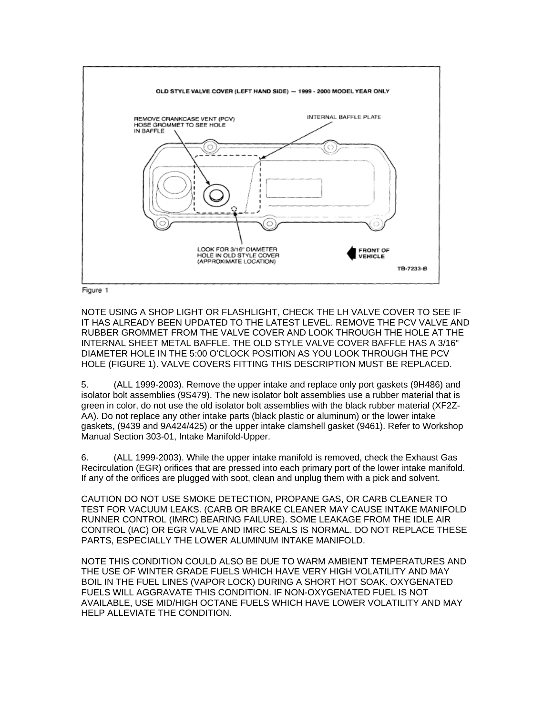

Figure 1

NOTE USING A SHOP LIGHT OR FLASHLIGHT, CHECK THE LH VALVE COVER TO SEE IF IT HAS ALREADY BEEN UPDATED TO THE LATEST LEVEL. REMOVE THE PCV VALVE AND RUBBER GROMMET FROM THE VALVE COVER AND LOOK THROUGH THE HOLE AT THE INTERNAL SHEET METAL BAFFLE. THE OLD STYLE VALVE COVER BAFFLE HAS A 3/16" DIAMETER HOLE IN THE 5:00 O'CLOCK POSITION AS YOU LOOK THROUGH THE PCV HOLE (FIGURE 1). VALVE COVERS FITTING THIS DESCRIPTION MUST BE REPLACED.

5. (ALL 1999-2003). Remove the upper intake and replace only port gaskets (9H486) and isolator bolt assemblies (9S479). The new isolator bolt assemblies use a rubber material that is green in color, do not use the old isolator bolt assemblies with the black rubber material (XF2Z-AA). Do not replace any other intake parts (black plastic or aluminum) or the lower intake gaskets, (9439 and 9A424/425) or the upper intake clamshell gasket (9461). Refer to Workshop Manual Section 303-01, Intake Manifold-Upper.

6. (ALL 1999-2003). While the upper intake manifold is removed, check the Exhaust Gas Recirculation (EGR) orifices that are pressed into each primary port of the lower intake manifold. If any of the orifices are plugged with soot, clean and unplug them with a pick and solvent.

CAUTION DO NOT USE SMOKE DETECTION, PROPANE GAS, OR CARB CLEANER TO TEST FOR VACUUM LEAKS. (CARB OR BRAKE CLEANER MAY CAUSE INTAKE MANIFOLD RUNNER CONTROL (IMRC) BEARING FAILURE). SOME LEAKAGE FROM THE IDLE AIR CONTROL (IAC) OR EGR VALVE AND IMRC SEALS IS NORMAL. DO NOT REPLACE THESE PARTS, ESPECIALLY THE LOWER ALUMINUM INTAKE MANIFOLD.

NOTE THIS CONDITION COULD ALSO BE DUE TO WARM AMBIENT TEMPERATURES AND THE USE OF WINTER GRADE FUELS WHICH HAVE VERY HIGH VOLATILITY AND MAY BOIL IN THE FUEL LINES (VAPOR LOCK) DURING A SHORT HOT SOAK. OXYGENATED FUELS WILL AGGRAVATE THIS CONDITION. IF NON-OXYGENATED FUEL IS NOT AVAILABLE, USE MID/HIGH OCTANE FUELS WHICH HAVE LOWER VOLATILITY AND MAY HELP ALLEVIATE THE CONDITION.